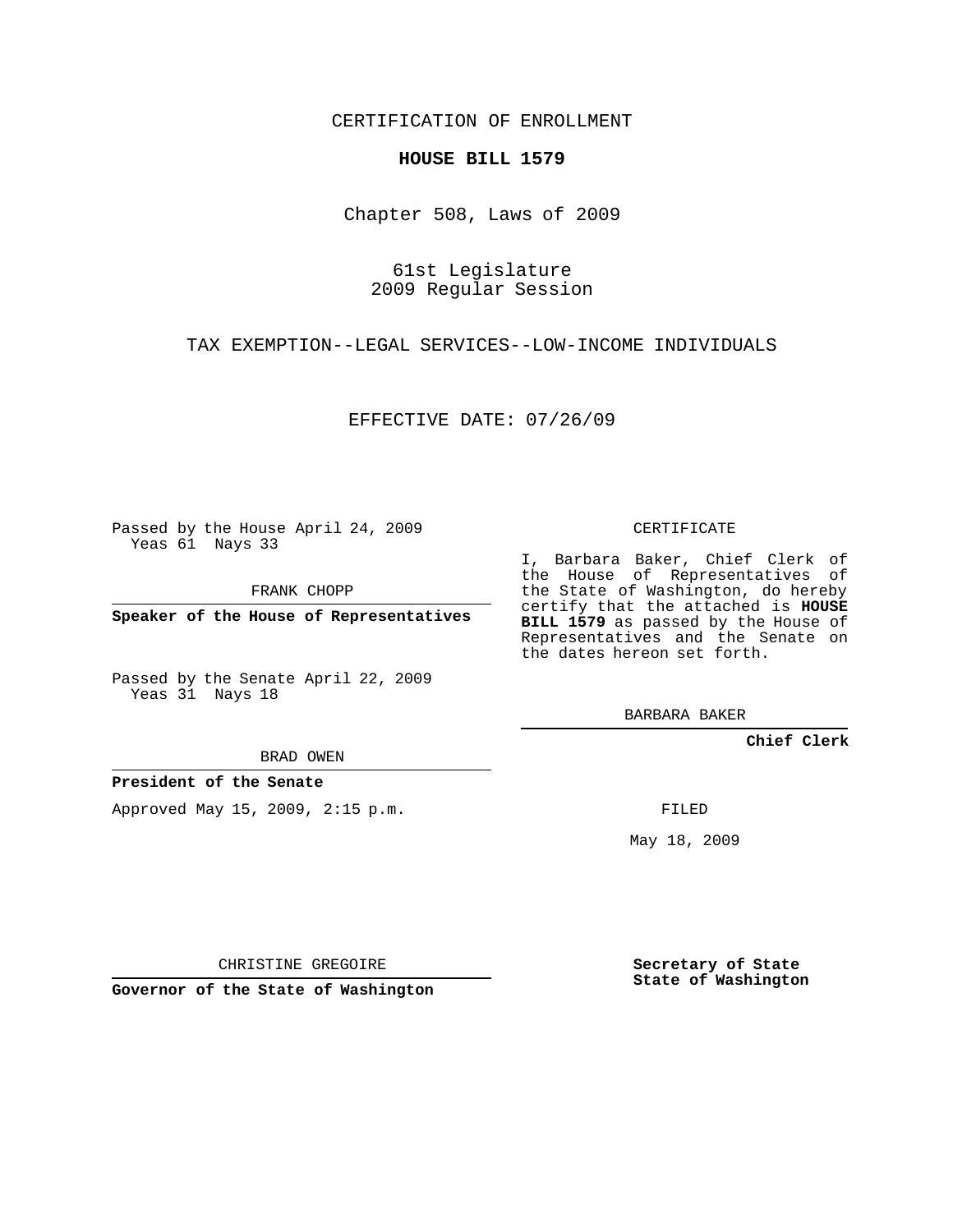## CERTIFICATION OF ENROLLMENT

## **HOUSE BILL 1579**

Chapter 508, Laws of 2009

61st Legislature 2009 Regular Session

TAX EXEMPTION--LEGAL SERVICES--LOW-INCOME INDIVIDUALS

EFFECTIVE DATE: 07/26/09

Passed by the House April 24, 2009 Yeas 61 Nays 33

FRANK CHOPP

**Speaker of the House of Representatives**

Passed by the Senate April 22, 2009 Yeas 31 Nays 18

CERTIFICATE

I, Barbara Baker, Chief Clerk of the House of Representatives of the State of Washington, do hereby certify that the attached is **HOUSE BILL 1579** as passed by the House of Representatives and the Senate on the dates hereon set forth.

BARBARA BAKER

**Chief Clerk**

BRAD OWEN

**President of the Senate**

Approved May 15, 2009, 2:15 p.m.

FILED

May 18, 2009

**Secretary of State State of Washington**

CHRISTINE GREGOIRE

**Governor of the State of Washington**